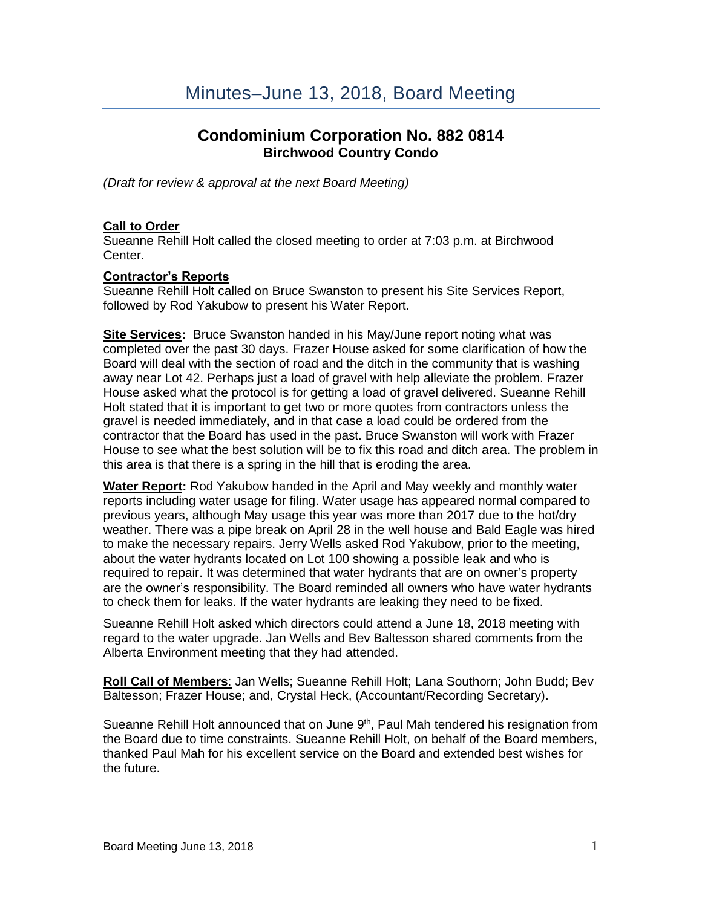# **Condominium Corporation No. 882 0814 [Birchwood](http://www.birchwoodcountrycondo.com/) Country Condo**

*(Draft for review & approval at the next Board Meeting)*

## **Call to Order**

Sueanne Rehill Holt called the closed meeting to order at 7:03 p.m. at Birchwood Center.

### **Contractor's Reports**

Sueanne Rehill Holt called on Bruce Swanston to present his Site Services Report, followed by Rod Yakubow to present his Water Report.

**Site Services:** Bruce Swanston handed in his May/June report noting what was completed over the past 30 days. Frazer House asked for some clarification of how the Board will deal with the section of road and the ditch in the community that is washing away near Lot 42. Perhaps just a load of gravel with help alleviate the problem. Frazer House asked what the protocol is for getting a load of gravel delivered. Sueanne Rehill Holt stated that it is important to get two or more quotes from contractors unless the gravel is needed immediately, and in that case a load could be ordered from the contractor that the Board has used in the past. Bruce Swanston will work with Frazer House to see what the best solution will be to fix this road and ditch area. The problem in this area is that there is a spring in the hill that is eroding the area.

**Water Report:** Rod Yakubow handed in the April and May weekly and monthly water reports including water usage for filing. Water usage has appeared normal compared to previous years, although May usage this year was more than 2017 due to the hot/dry weather. There was a pipe break on April 28 in the well house and Bald Eagle was hired to make the necessary repairs. Jerry Wells asked Rod Yakubow, prior to the meeting, about the water hydrants located on Lot 100 showing a possible leak and who is required to repair. It was determined that water hydrants that are on owner's property are the owner's responsibility. The Board reminded all owners who have water hydrants to check them for leaks. If the water hydrants are leaking they need to be fixed.

Sueanne Rehill Holt asked which directors could attend a June 18, 2018 meeting with regard to the water upgrade. Jan Wells and Bev Baltesson shared comments from the Alberta Environment meeting that they had attended.

**Roll Call of Members**: Jan Wells; Sueanne Rehill Holt; Lana Southorn; John Budd; Bev Baltesson; Frazer House; and, Crystal Heck, (Accountant/Recording Secretary).

Sueanne Rehill Holt announced that on June 9<sup>th</sup>, Paul Mah tendered his resignation from the Board due to time constraints. Sueanne Rehill Holt, on behalf of the Board members, thanked Paul Mah for his excellent service on the Board and extended best wishes for the future.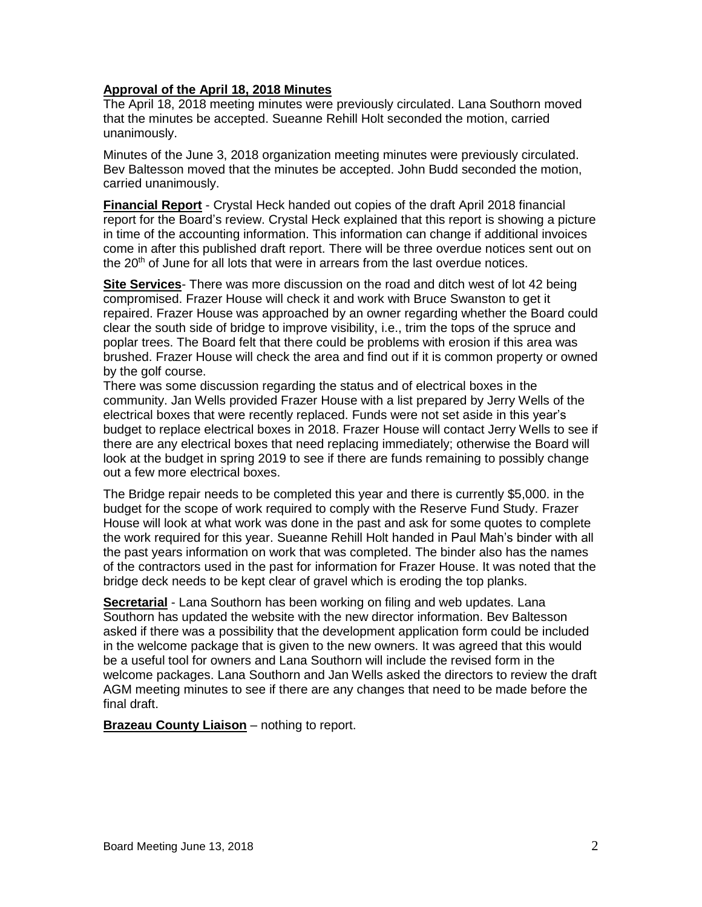## **Approval of the April 18, 2018 Minutes**

The April 18, 2018 meeting minutes were previously circulated. Lana Southorn moved that the minutes be accepted. Sueanne Rehill Holt seconded the motion, carried unanimously.

Minutes of the June 3, 2018 organization meeting minutes were previously circulated. Bev Baltesson moved that the minutes be accepted. John Budd seconded the motion, carried unanimously.

**Financial Report** - Crystal Heck handed out copies of the draft April 2018 financial report for the Board's review. Crystal Heck explained that this report is showing a picture in time of the accounting information. This information can change if additional invoices come in after this published draft report. There will be three overdue notices sent out on the 20<sup>th</sup> of June for all lots that were in arrears from the last overdue notices.

**Site Services**- There was more discussion on the road and ditch west of lot 42 being compromised. Frazer House will check it and work with Bruce Swanston to get it repaired. Frazer House was approached by an owner regarding whether the Board could clear the south side of bridge to improve visibility, i.e., trim the tops of the spruce and poplar trees. The Board felt that there could be problems with erosion if this area was brushed. Frazer House will check the area and find out if it is common property or owned by the golf course.

There was some discussion regarding the status and of electrical boxes in the community. Jan Wells provided Frazer House with a list prepared by Jerry Wells of the electrical boxes that were recently replaced. Funds were not set aside in this year's budget to replace electrical boxes in 2018. Frazer House will contact Jerry Wells to see if there are any electrical boxes that need replacing immediately; otherwise the Board will look at the budget in spring 2019 to see if there are funds remaining to possibly change out a few more electrical boxes.

The Bridge repair needs to be completed this year and there is currently \$5,000. in the budget for the scope of work required to comply with the Reserve Fund Study. Frazer House will look at what work was done in the past and ask for some quotes to complete the work required for this year. Sueanne Rehill Holt handed in Paul Mah's binder with all the past years information on work that was completed. The binder also has the names of the contractors used in the past for information for Frazer House. It was noted that the bridge deck needs to be kept clear of gravel which is eroding the top planks.

**Secretarial** - Lana Southorn has been working on filing and web updates. Lana Southorn has updated the website with the new director information. Bev Baltesson asked if there was a possibility that the development application form could be included in the welcome package that is given to the new owners. It was agreed that this would be a useful tool for owners and Lana Southorn will include the revised form in the welcome packages. Lana Southorn and Jan Wells asked the directors to review the draft AGM meeting minutes to see if there are any changes that need to be made before the final draft.

**Brazeau County Liaison** – nothing to report.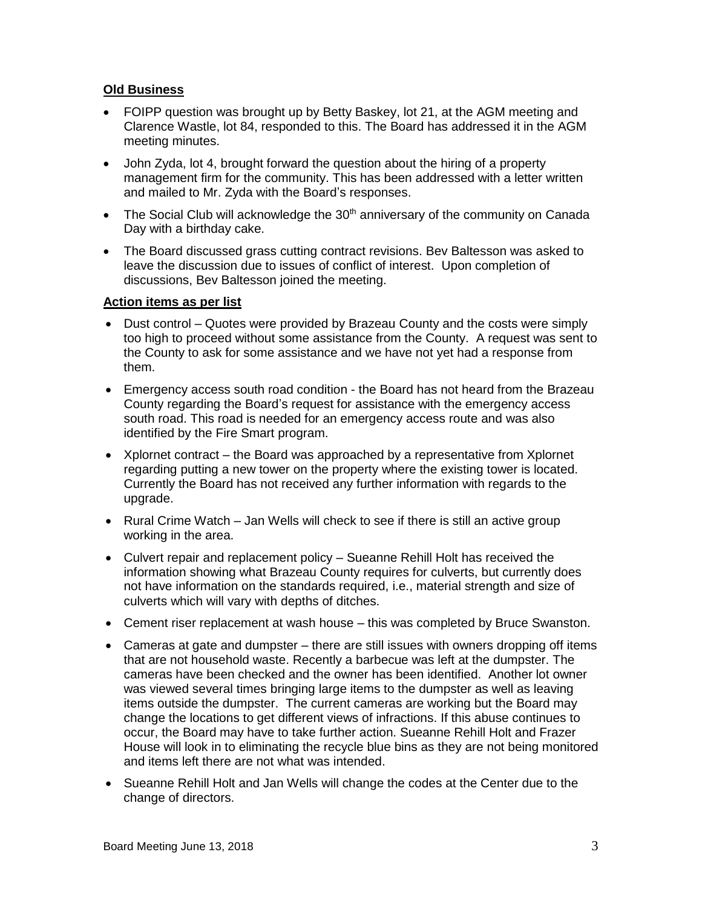## **Old Business**

- FOIPP question was brought up by Betty Baskey, lot 21, at the AGM meeting and Clarence Wastle, lot 84, responded to this. The Board has addressed it in the AGM meeting minutes.
- John Zyda, lot 4, brought forward the question about the hiring of a property management firm for the community. This has been addressed with a letter written and mailed to Mr. Zyda with the Board's responses.
- The Social Club will acknowledge the  $30<sup>th</sup>$  anniversary of the community on Canada Day with a birthday cake.
- The Board discussed grass cutting contract revisions. Bev Baltesson was asked to leave the discussion due to issues of conflict of interest. Upon completion of discussions, Bev Baltesson joined the meeting.

### **Action items as per list**

- Dust control Quotes were provided by Brazeau County and the costs were simply too high to proceed without some assistance from the County. A request was sent to the County to ask for some assistance and we have not yet had a response from them.
- Emergency access south road condition the Board has not heard from the Brazeau County regarding the Board's request for assistance with the emergency access south road. This road is needed for an emergency access route and was also identified by the Fire Smart program.
- Xplornet contract the Board was approached by a representative from Xplornet regarding putting a new tower on the property where the existing tower is located. Currently the Board has not received any further information with regards to the upgrade.
- Rural Crime Watch Jan Wells will check to see if there is still an active group working in the area.
- Culvert repair and replacement policy Sueanne Rehill Holt has received the information showing what Brazeau County requires for culverts, but currently does not have information on the standards required, i.e., material strength and size of culverts which will vary with depths of ditches.
- Cement riser replacement at wash house this was completed by Bruce Swanston.
- Cameras at gate and dumpster there are still issues with owners dropping off items that are not household waste. Recently a barbecue was left at the dumpster. The cameras have been checked and the owner has been identified. Another lot owner was viewed several times bringing large items to the dumpster as well as leaving items outside the dumpster. The current cameras are working but the Board may change the locations to get different views of infractions. If this abuse continues to occur, the Board may have to take further action. Sueanne Rehill Holt and Frazer House will look in to eliminating the recycle blue bins as they are not being monitored and items left there are not what was intended.
- Sueanne Rehill Holt and Jan Wells will change the codes at the Center due to the change of directors.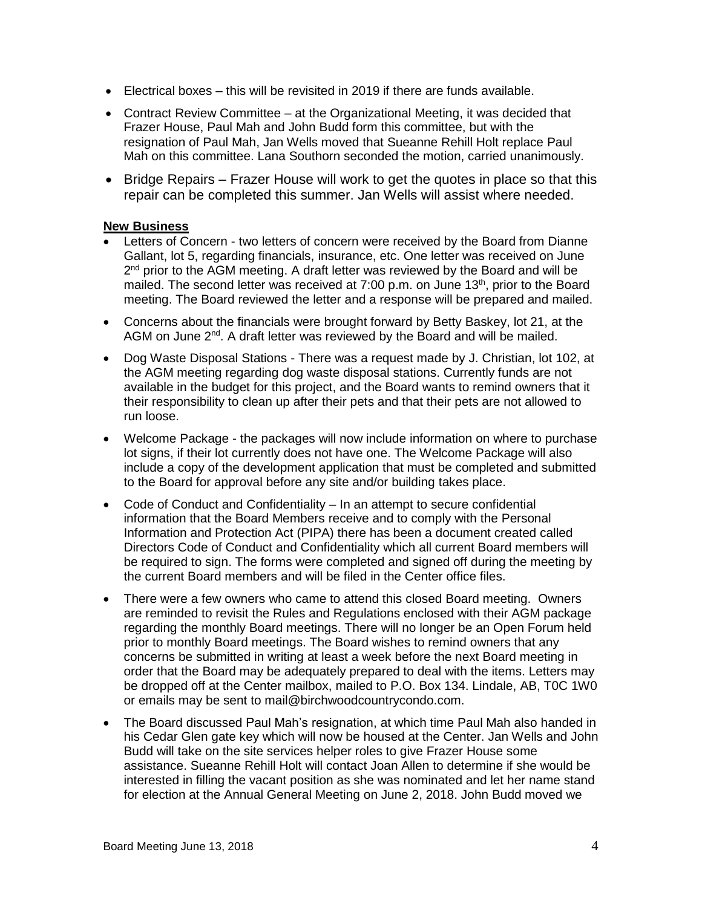- $\bullet$  Electrical boxes this will be revisited in 2019 if there are funds available.
- Contract Review Committee at the Organizational Meeting, it was decided that Frazer House, Paul Mah and John Budd form this committee, but with the resignation of Paul Mah, Jan Wells moved that Sueanne Rehill Holt replace Paul Mah on this committee. Lana Southorn seconded the motion, carried unanimously.
- Bridge Repairs Frazer House will work to get the quotes in place so that this repair can be completed this summer. Jan Wells will assist where needed.

#### **New Business**

- Letters of Concern two letters of concern were received by the Board from Dianne Gallant, lot 5, regarding financials, insurance, etc. One letter was received on June 2<sup>nd</sup> prior to the AGM meeting. A draft letter was reviewed by the Board and will be mailed. The second letter was received at 7:00 p.m. on June 13<sup>th</sup>, prior to the Board meeting. The Board reviewed the letter and a response will be prepared and mailed.
- Concerns about the financials were brought forward by Betty Baskey, lot 21, at the AGM on June  $2^{nd}$ . A draft letter was reviewed by the Board and will be mailed.
- Dog Waste Disposal Stations There was a request made by J. Christian, lot 102, at the AGM meeting regarding dog waste disposal stations. Currently funds are not available in the budget for this project, and the Board wants to remind owners that it their responsibility to clean up after their pets and that their pets are not allowed to run loose.
- Welcome Package the packages will now include information on where to purchase lot signs, if their lot currently does not have one. The Welcome Package will also include a copy of the development application that must be completed and submitted to the Board for approval before any site and/or building takes place.
- Code of Conduct and Confidentiality In an attempt to secure confidential information that the Board Members receive and to comply with the Personal Information and Protection Act (PIPA) there has been a document created called Directors Code of Conduct and Confidentiality which all current Board members will be required to sign. The forms were completed and signed off during the meeting by the current Board members and will be filed in the Center office files.
- There were a few owners who came to attend this closed Board meeting. Owners are reminded to revisit the Rules and Regulations enclosed with their AGM package regarding the monthly Board meetings. There will no longer be an Open Forum held prior to monthly Board meetings. The Board wishes to remind owners that any concerns be submitted in writing at least a week before the next Board meeting in order that the Board may be adequately prepared to deal with the items. Letters may be dropped off at the Center mailbox, mailed to P.O. Box 134. Lindale, AB, T0C 1W0 or emails may be sent to mail@birchwoodcountrycondo.com.
- The Board discussed Paul Mah's resignation, at which time Paul Mah also handed in his Cedar Glen gate key which will now be housed at the Center. Jan Wells and John Budd will take on the site services helper roles to give Frazer House some assistance. Sueanne Rehill Holt will contact Joan Allen to determine if she would be interested in filling the vacant position as she was nominated and let her name stand for election at the Annual General Meeting on June 2, 2018. John Budd moved we